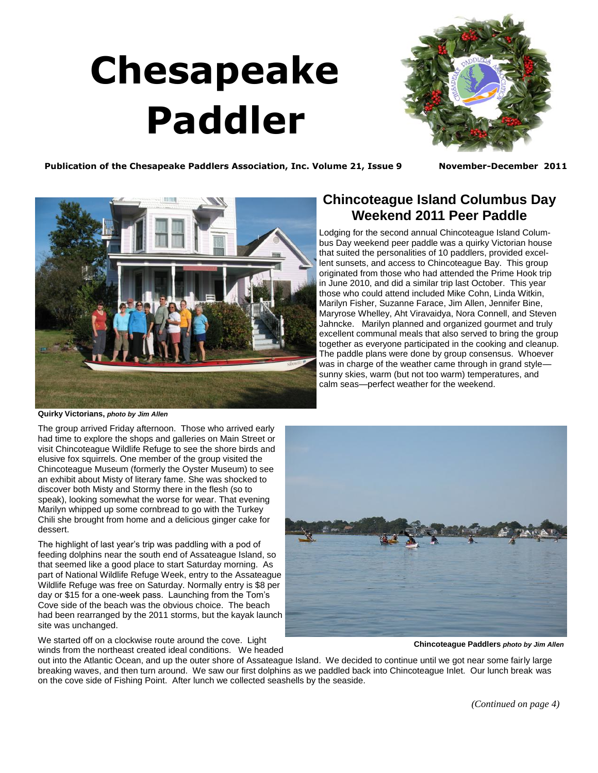## **Chesapeake Paddler**

<span id="page-0-0"></span>

**Publication of the Chesapeake Paddlers Association, Inc. Volume 21, Issue 9 November-December 2011**



**Quirky Victorians,** *photo by Jim Allen*

The group arrived Friday afternoon. Those who arrived early had time to explore the shops and galleries on Main Street or visit Chincoteague Wildlife Refuge to see the shore birds and elusive fox squirrels. One member of the group visited the Chincoteague Museum (formerly the Oyster Museum) to see an exhibit about Misty of literary fame. She was shocked to discover both Misty and Stormy there in the flesh (so to speak), looking somewhat the worse for wear. That evening Marilyn whipped up some cornbread to go with the Turkey Chili she brought from home and a delicious ginger cake for dessert.

The highlight of last year's trip was paddling with a pod of feeding dolphins near the south end of Assateague Island, so that seemed like a good place to start Saturday morning. As part of National Wildlife Refuge Week, entry to the Assateague Wildlife Refuge was free on Saturday. Normally entry is \$8 per day or \$15 for a one-week pass. Launching from the Tom's Cove side of the beach was the obvious choice. The beach had been rearranged by the 2011 storms, but the kayak launch site was unchanged.

We started off on a clockwise route around the cove. Light winds from the northeast created ideal conditions. We headed

## **Chincoteague Island Columbus Day Weekend 2011 Peer Paddle**

Lodging for the second annual Chincoteague Island Columbus Day weekend peer paddle was a quirky Victorian house that suited the personalities of 10 paddlers, provided excellent sunsets, and access to Chincoteague Bay. This group originated from those who had attended the Prime Hook trip in June 2010, and did a similar trip last October. This year those who could attend included Mike Cohn, Linda Witkin, Marilyn Fisher, Suzanne Farace, Jim Allen, Jennifer Bine, Maryrose Whelley, Aht Viravaidya, Nora Connell, and Steven Jahncke. Marilyn planned and organized gourmet and truly excellent communal meals that also served to bring the group together as everyone participated in the cooking and cleanup. The paddle plans were done by group consensus. Whoever was in charge of the weather came through in grand style sunny skies, warm (but not too warm) temperatures, and calm seas—perfect weather for the weekend.



**Chincoteague Paddlers** *photo by Jim Allen*

out into the Atlantic Ocean, and up the outer shore of Assateague Island. We decided to continue until we got near some fairly large breaking waves, and then turn around. We saw our first dolphins as we paddled back into Chincoteague Inlet. Our lunch break was on the cove side of Fishing Point. After lunch we collected seashells by the seaside.

*[\(Continued on page 4\)](#page-1-0)*